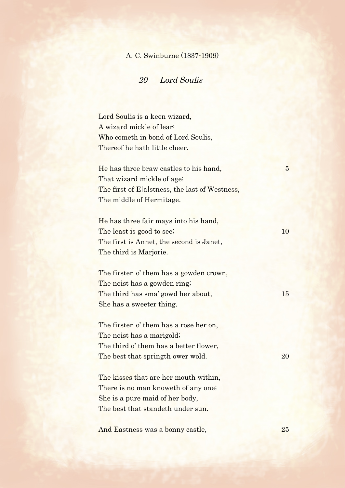## A. C. Swinburne (1837-1909)

20 Lord Soulis

Lord Soulis is a keen wizard, A wizard mickle of lear: Who cometh in bond of Lord Soulis, Thereof he hath little cheer.

He has three braw castles to his hand, 5 That wizard mickle of age; The first of E[a]stness, the last of Westness, The middle of Hermitage.

He has three fair mays into his hand, The least is good to see; 10 The first is Annet, the second is Janet, The third is Marjorie.

The firsten o' them has a gowden crown, The neist has a gowden ring; The third has sma' gowd her about, 15 She has a sweeter thing.

The firsten o' them has a rose her on, The neist has a marigold; The third o' them has a better flower, The best that springth ower wold. 20

The kisses that are her mouth within, There is no man knoweth of any one; She is a pure maid of her body, The best that standeth under sun.

And Eastness was a bonny castle, 25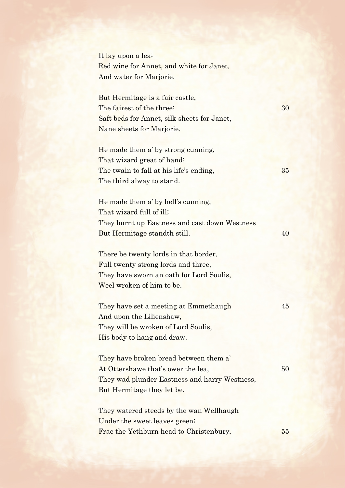It lay upon a lea; Red wine for Annet, and white for Janet, And water for Marjorie.

But Hermitage is a fair castle, The fairest of the three; 30 Saft beds for Annet, silk sheets for Janet, Nane sheets for Marjorie.

He made them a' by strong cunning, That wizard great of hand; The twain to fall at his life's ending,  $35$ The third alway to stand.

He made them a' by hell's cunning, That wizard full of ill; They burnt up Eastness and cast down Westness But Hermitage standth still. 40

There be twenty lords in that border, Full twenty strong lords and three, They have sworn an oath for Lord Soulis, Weel wroken of him to be.

They have set a meeting at Emmethaugh 45 And upon the Lilienshaw, They will be wroken of Lord Soulis, His body to hang and draw.

They have broken bread between them a' At Ottershawe that's ower the lea, 50 They wad plunder Eastness and harry Westness, But Hermitage they let be.

They watered steeds by the wan Wellhaugh Under the sweet leaves green; Frae the Yethburn head to Christenbury, 55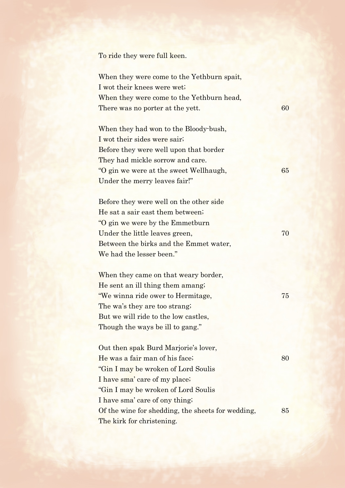To ride they were full keen.

When they were come to the Yethburn spait, I wot their knees were wet; When they were come to the Yethburn head, There was no porter at the yett. 60

When they had won to the Bloody-bush, I wot their sides were sair; Before they were well upon that border They had mickle sorrow and care. "O gin we were at the sweet Wellhaugh, 65 Under the merry leaves fair!"

Before they were well on the other side He sat a sair east them between; "O gin we were by the Emmetburn Under the little leaves green, 70 Between the birks and the Emmet water, We had the lesser been."

When they came on that weary border, He sent an ill thing them amang; "We winna ride ower to Hermitage, 75 The wa's they are too strang; But we will ride to the low castles, Though the ways be ill to gang."

Out then spak Burd Marjorie's lover, He was a fair man of his face; 80 "Gin I may be wroken of Lord Soulis I have sma' care of my place; "Gin I may be wroken of Lord Soulis I have sma' care of ony thing; Of the wine for shedding, the sheets for wedding, 85 The kirk for christening.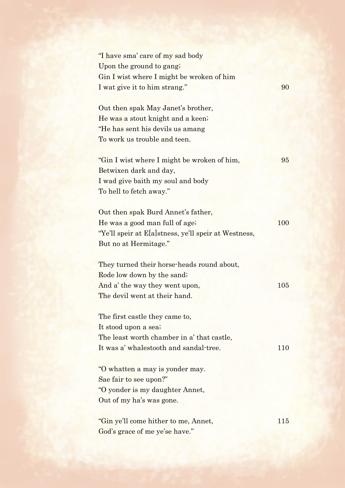| "I have sma' care of my sad body                     |            |
|------------------------------------------------------|------------|
| Upon the ground to gang;                             |            |
| Gin I wist where I might be wroken of him            |            |
| I wat give it to him strang."                        | 90         |
|                                                      |            |
| Out then spak May Janet's brother,                   |            |
| He was a stout knight and a keen;                    |            |
| "He has sent his devils us amang"                    |            |
| To work us trouble and teen.                         |            |
|                                                      |            |
| "Gin I wist where I might be wroken of him,          | 95         |
| Betwixen dark and day,                               |            |
| I wad give baith my soul and body                    |            |
| To hell to fetch away."                              |            |
|                                                      |            |
| Out then spak Burd Annet's father,                   |            |
| He was a good man full of age;                       | <b>100</b> |
| "Ye'll speir at E[a]stness, ye'll speir at Westness, |            |
| But no at Hermitage."                                |            |
|                                                      |            |
| They turned their horse-heads round about,           |            |
| Rode low down by the sand;                           |            |
| And a' the way they went upon,                       | 105        |
| The devil went at their hand.                        |            |
|                                                      |            |
| The first castle they came to,                       |            |
| It stood upon a sea;                                 |            |
| The least worth chamber in a' that castle,           |            |
| It was a' whalestooth and sandal-tree.               | 110        |
|                                                      |            |
| "O whatten a may is yonder may.                      |            |
| Sae fair to see upon?"                               |            |
| "O yonder is my daughter Annet,                      |            |
| Out of my ha's was gone.                             |            |
|                                                      |            |
| "Gin ye'll come hither to me, Annet,                 | 115        |
| God's grace of me ye'se have."                       |            |
|                                                      |            |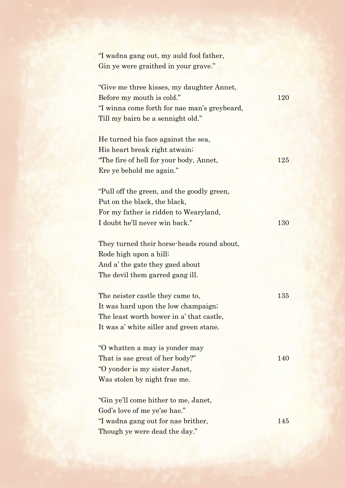| "I wadna gang out, my auld fool father,<br>Gin ye were graithed in your grave."                                                                                              |     |
|------------------------------------------------------------------------------------------------------------------------------------------------------------------------------|-----|
| "Give me three kisses, my daughter Annet,<br>Before my mouth is cold."<br>"I winna come forth for nae man's greybeard,<br>Till my bairn be a sennight old."                  | 120 |
| He turned his face against the sea,<br>His heart break right atwain;<br>"The fire of hell for your body, Annet,<br>Ere ye behold me again."                                  | 125 |
| "Pull off the green, and the goodly green,<br>Put on the black, the black,<br>For my father is ridden to Wearyland,                                                          |     |
| I doubt he'll never win back."<br>They turned their horse-heads round about,<br>Rode high upon a hill;<br>And a' the gate they gaed about<br>The devil them garred gang ill. | 130 |
| The neister castle they came to,<br>It was hard upon the low champaign;<br>The least worth bower in a' that castle,<br>It was a' white siller and green stane.               | 135 |
| "O whatten a may is yonder may<br>That is sae great of her body?"<br>"O yonder is my sister Janet,<br>Was stolen by night frae me.                                           | 140 |
| "Gin ye'll come hither to me, Janet,<br>God's love of me ye'se hae."<br>"I wadna gang out for nae brither,<br>Though ye were dead the day."                                  | 145 |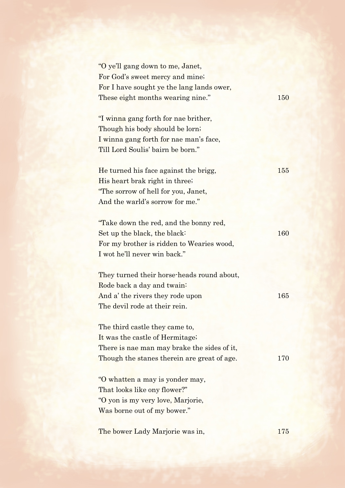| "O ye'll gang down to me, Janet,            |            |
|---------------------------------------------|------------|
| For God's sweet mercy and mine;             |            |
| For I have sought ye the lang lands ower,   |            |
| These eight months wearing nine."           | <b>150</b> |
| "I winna gang forth for nae brither,        |            |
| Though his body should be lorn;             |            |
| I winna gang forth for nae man's face,      |            |
| Till Lord Soulis' bairn be born."           |            |
| He turned his face against the brigg,       | 155        |
| His heart brak right in three;              |            |
| "The sorrow of hell for you, Janet,         |            |
| And the warld's sorrow for me."             |            |
| "Take down the red, and the bonny red,      |            |
| Set up the black, the black:                | 160        |
| For my brother is ridden to Wearies wood,   |            |
| I wot he'll never win back."                |            |
| They turned their horse-heads round about,  |            |
| Rode back a day and twain:                  |            |
| And a' the rivers they rode upon            | 165        |
| The devil rode at their rein.               |            |
| The third castle they came to,              |            |
| It was the castle of Hermitage;             |            |
| There is nae man may brake the sides of it, |            |
| Though the stanes therein are great of age. | 170        |
| "O whatten a may is yonder may,             |            |
| That looks like ony flower?"                |            |
| "O yon is my very love, Marjorie,           |            |
| Was borne out of my bower."                 |            |
| The bower Lady Marjorie was in,             | 175        |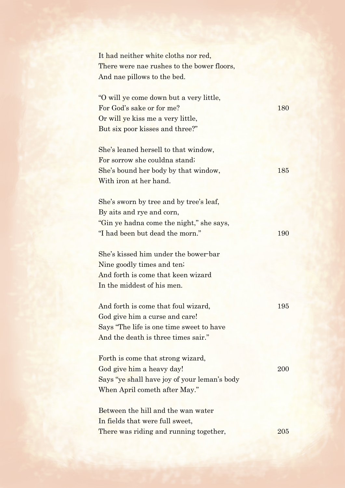| It had neither white cloths nor red,         |         |
|----------------------------------------------|---------|
| There were nae rushes to the bower floors,   |         |
| And nae pillows to the bed.                  |         |
|                                              |         |
| "O will ye come down but a very little,      |         |
| For God's sake or for me?                    | 180     |
| Or will ye kiss me a very little,            |         |
| But six poor kisses and three?"              |         |
|                                              |         |
| She's leaned hersell to that window,         |         |
| For sorrow she couldna stand;                |         |
| She's bound her body by that window,         | 185     |
| With iron at her hand.                       |         |
|                                              |         |
| She's sworn by tree and by tree's leaf,      |         |
| By aits and rye and corn,                    |         |
| "Gin ye hadna come the night," she says,     |         |
| "I had been but dead the morn."              | 190     |
| She's kissed him under the bower-bar         |         |
| Nine goodly times and ten.                   |         |
| And forth is come that keen wizard           |         |
| In the middest of his men.                   |         |
|                                              |         |
| And forth is come that foul wizard,          | $195\,$ |
| God give him a curse and care!               |         |
| Says "The life is one time sweet to have     |         |
| And the death is three times sair."          |         |
|                                              |         |
| Forth is come that strong wizard,            |         |
| God give him a heavy day!                    | 200     |
| Says "ye shall have joy of your leman's body |         |
| When April cometh after May."                |         |
| Between the hill and the wan water           |         |
| In fields that were full sweet,              |         |
|                                              | 205     |
| There was riding and running together,       |         |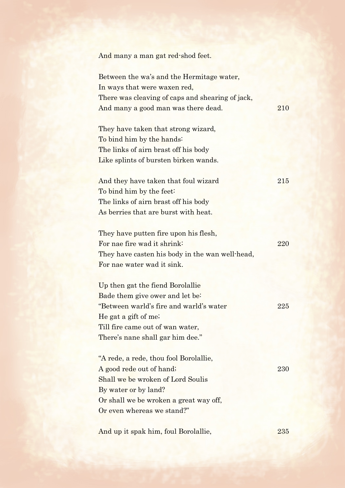|  | And many a man gat red-shod feet. |
|--|-----------------------------------|
|--|-----------------------------------|

Between the wa's and the Hermitage water, In ways that were waxen red, There was cleaving of caps and shearing of jack, And many a good man was there dead. 210

They have taken that strong wizard, To bind him by the hands: The links of airn brast off his body Like splints of bursten birken wands.

And they have taken that foul wizard 215 To bind him by the feet: The links of airn brast off his body As berries that are burst with heat.

| They have putten fire upon his flesh,           |     |
|-------------------------------------------------|-----|
| For nae fire wad it shrink:                     | 220 |
| They have casten his body in the wan well-head, |     |
| For nae water wad it sink.                      |     |

Up then gat the fiend Borolallie Bade them give ower and let be: "Between warld's fire and warld's water 225 He gat a gift of me; Till fire came out of wan water, There's nane shall gar him dee."

"A rede, a rede, thou fool Borolallie, A good rede out of hand; 230 Shall we be wroken of Lord Soulis By water or by land? Or shall we be wroken a great way off, Or even whereas we stand?"

And up it spak him, foul Borolallie, 235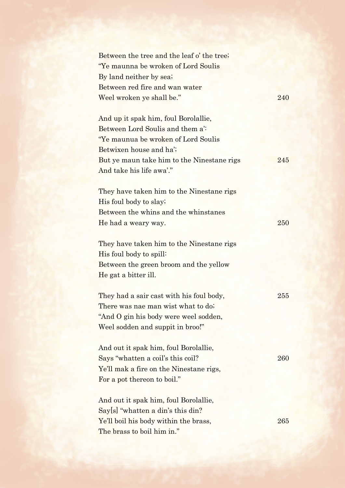| Between the tree and the leaf o' the tree;<br>"Ye maunna be wroken of Lord Soulis" |     |
|------------------------------------------------------------------------------------|-----|
| By land neither by sea;                                                            |     |
| Between red fire and wan water                                                     |     |
| Weel wroken ye shall be."                                                          | 240 |
| And up it spak him, foul Borolallie,                                               |     |
| Between Lord Soulis and them a.                                                    |     |
| "Ye maunua be wroken of Lord Soulis"                                               |     |
| Betwixen house and ha';                                                            |     |
| But ye maun take him to the Ninestane rigs                                         | 245 |
| And take his life awa'."                                                           |     |
|                                                                                    |     |
| They have taken him to the Ninestane rigs                                          |     |
| His foul body to slay.                                                             |     |
| Between the whins and the whinstanes                                               |     |
| He had a weary way.                                                                | 250 |
|                                                                                    |     |
| They have taken him to the Ninestane rigs                                          |     |
| His foul body to spill:                                                            |     |
| Between the green broom and the yellow                                             |     |
| He gat a bitter ill.                                                               |     |
|                                                                                    |     |
| They had a sair cast with his foul body,                                           | 255 |
| There was nae man wist what to do.                                                 |     |
| "And O gin his body were weel sodden,                                              |     |
| Weel sodden and suppit in broo!"                                                   |     |
|                                                                                    |     |
| And out it spak him, foul Borolallie,                                              |     |
| Says "whatten a coil's this coil?                                                  | 260 |
| Ye'll mak a fire on the Ninestane rigs,                                            |     |
| For a pot thereon to boil."                                                        |     |
|                                                                                    |     |
| And out it spak him, foul Borolallie,                                              |     |
| Sayls "whatten a din's this din?                                                   |     |
| Ye'll boil his body within the brass,                                              | 265 |
| The brass to boil him in."                                                         |     |